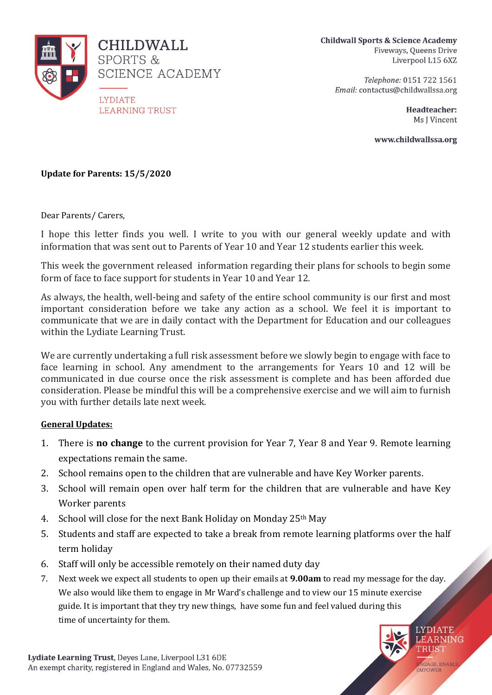

**Childwall Sports & Science Academy** Fiveways, Queens Drive Liverpool L15 6XZ

> Telephone: 0151 722 1561 Email: contactus@childwallssa.org

> > Headteacher: Ms I Vincent

> > > **LEARNING** TRUST

ENGAGE, ENABLE<br>EMPOWER

www.childwallssa.org

**Update for Parents: 15/5/2020**

Dear Parents/ Carers,

I hope this letter finds you well. I write to you with our general weekly update and with information that was sent out to Parents of Year 10 and Year 12 students earlier this week.

This week the government released information regarding their plans for schools to begin some form of face to face support for students in Year 10 and Year 12.

As always, the health, well-being and safety of the entire school community is our first and most important consideration before we take any action as a school. We feel it is important to communicate that we are in daily contact with the Department for Education and our colleagues within the Lydiate Learning Trust.

We are currently undertaking a full risk assessment before we slowly begin to engage with face to face learning in school. Any amendment to the arrangements for Years 10 and 12 will be communicated in due course once the risk assessment is complete and has been afforded due consideration. Please be mindful this will be a comprehensive exercise and we will aim to furnish you with further details late next week.

## **General Updates:**

- 1. There is **no change** to the current provision for Year 7, Year 8 and Year 9. Remote learning expectations remain the same.
- 2. School remains open to the children that are vulnerable and have Key Worker parents.
- 3. School will remain open over half term for the children that are vulnerable and have Key Worker parents
- 4. School will close for the next Bank Holiday on Monday 25th May
- 5. Students and staff are expected to take a break from remote learning platforms over the half term holiday
- 6. Staff will only be accessible remotely on their named duty day
- 7. Next week we expect all students to open up their emails at **9.00am** to read my message for the day. We also would like them to engage in Mr Ward's challenge and to view our 15 minute exercise guide. It is important that they try new things, have some fun and feel valued during this time of uncertainty for them.**LYDIATE**